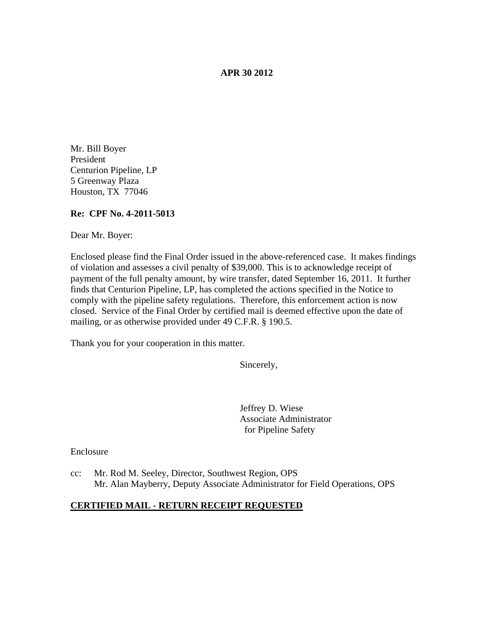### **APR 30 2012**

Mr. Bill Boyer President Centurion Pipeline, LP 5 Greenway Plaza Houston, TX 77046

# **Re: CPF No. 4-2011-5013**

Dear Mr. Boyer:

Enclosed please find the Final Order issued in the above-referenced case. It makes findings of violation and assesses a civil penalty of \$39,000. This is to acknowledge receipt of payment of the full penalty amount, by wire transfer, dated September 16, 2011. It further finds that Centurion Pipeline, LP, has completed the actions specified in the Notice to comply with the pipeline safety regulations. Therefore, this enforcement action is now closed. Service of the Final Order by certified mail is deemed effective upon the date of mailing, or as otherwise provided under 49 C.F.R. § 190.5.

Thank you for your cooperation in this matter.

Sincerely,

Jeffrey D. Wiese Associate Administrator for Pipeline Safety

Enclosure

cc: Mr. Rod M. Seeley, Director, Southwest Region, OPS Mr. Alan Mayberry, Deputy Associate Administrator for Field Operations, OPS

#### **CERTIFIED MAIL - RETURN RECEIPT REQUESTED**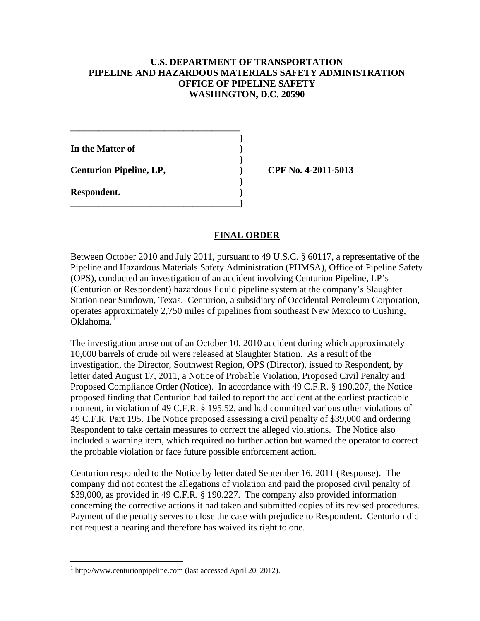# **U.S. DEPARTMENT OF TRANSPORTATION PIPELINE AND HAZARDOUS MATERIALS SAFETY ADMINISTRATION OFFICE OF PIPELINE SAFETY WASHINGTON, D.C. 20590**

**) In the Matter of ) ) Centurion Pipeline, LP, ) CPF No. 4-2011-5013 ) Respondent. ) \_\_\_\_\_\_\_\_\_\_\_\_\_\_\_\_\_\_\_\_\_\_\_\_\_\_\_\_\_\_\_\_\_\_\_\_)**

**\_\_\_\_\_\_\_\_\_\_\_\_\_\_\_\_\_\_\_\_\_\_\_\_\_\_\_\_\_\_\_\_\_\_\_\_**

# **FINAL ORDER**

Between October 2010 and July 2011, pursuant to 49 U.S.C. § 60117, a representative of the Pipeline and Hazardous Materials Safety Administration (PHMSA), Office of Pipeline Safety (OPS), conducted an investigation of an accident involving Centurion Pipeline, LP's (Centurion or Respondent) hazardous liquid pipeline system at the company's Slaughter Station near Sundown, Texas. Centurion, a subsidiary of Occidental Petroleum Corporation, operates approximately 2,750 miles of pipelines from southeast New Mexico to Cushing, Oklahoma.<sup>[1](#page-1-0)</sup>

The investigation arose out of an October 10, 2010 accident during which approximately 10,000 barrels of crude oil were released at Slaughter Station. As a result of the investigation, the Director, Southwest Region, OPS (Director), issued to Respondent, by letter dated August 17, 2011, a Notice of Probable Violation, Proposed Civil Penalty and Proposed Compliance Order (Notice). In accordance with 49 C.F.R. § 190.207, the Notice proposed finding that Centurion had failed to report the accident at the earliest practicable moment, in violation of 49 C.F.R. § 195.52, and had committed various other violations of 49 C.F.R. Part 195. The Notice proposed assessing a civil penalty of \$39,000 and ordering Respondent to take certain measures to correct the alleged violations. The Notice also included a warning item, which required no further action but warned the operator to correct the probable violation or face future possible enforcement action.

Centurion responded to the Notice by letter dated September 16, 2011 (Response). The company did not contest the allegations of violation and paid the proposed civil penalty of \$39,000, as provided in 49 C.F.R. § 190.227. The company also provided information concerning the corrective actions it had taken and submitted copies of its revised procedures. Payment of the penalty serves to close the case with prejudice to Respondent. Centurion did not request a hearing and therefore has waived its right to one.

<span id="page-1-0"></span> $1$  http://www.centurionpipeline.com (last accessed April 20, 2012).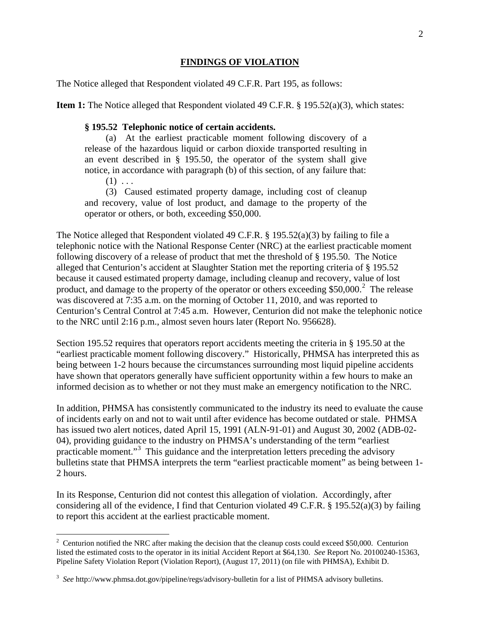### **FINDINGS OF VIOLATION**

The Notice alleged that Respondent violated 49 C.F.R. Part 195, as follows:

**Item 1:** The Notice alleged that Respondent violated 49 C.F.R. § 195.52(a)(3), which states:

#### **§ 195.52 Telephonic notice of certain accidents.**

(a) At the earliest practicable moment following discovery of a release of the hazardous liquid or carbon dioxide transported resulting in an event described in § 195.50, the operator of the system shall give notice, in accordance with paragraph (b) of this section, of any failure that:  $(1) \ldots$ 

(3) Caused estimated property damage, including cost of cleanup and recovery, value of lost product, and damage to the property of the operator or others, or both, exceeding \$50,000.

The Notice alleged that Respondent violated 49 C.F.R. § 195.52(a)(3) by failing to file a telephonic notice with the National Response Center (NRC) at the earliest practicable moment following discovery of a release of product that met the threshold of § 195.50. The Notice alleged that Centurion's accident at Slaughter Station met the reporting criteria of § 195.52 because it caused estimated property damage, including cleanup and recovery, value of lost product, and damage to the property of the operator or others exceeding  $$50,000$ .<sup>[2](#page-2-0)</sup> The release was discovered at 7:35 a.m. on the morning of October 11, 2010, and was reported to Centurion's Central Control at 7:45 a.m. However, Centurion did not make the telephonic notice to the NRC until 2:16 p.m., almost seven hours later (Report No. 956628).

Section 195.52 requires that operators report accidents meeting the criteria in § 195.50 at the "earliest practicable moment following discovery." Historically, PHMSA has interpreted this as being between 1-2 hours because the circumstances surrounding most liquid pipeline accidents have shown that operators generally have sufficient opportunity within a few hours to make an informed decision as to whether or not they must make an emergency notification to the NRC.

In addition, PHMSA has consistently communicated to the industry its need to evaluate the cause of incidents early on and not to wait until after evidence has become outdated or stale. PHMSA has issued two alert notices, dated April 15, 1991 (ALN-91-01) and August 30, 2002 (ADB-02-04), providing guidance to the industry on PHMSA's understanding of the term "earliest practicable moment."<sup>[3](#page-2-1)</sup> This guidance and the interpretation letters preceding the advisory bulletins state that PHMSA interprets the term "earliest practicable moment" as being between 1- 2 hours.

In its Response, Centurion did not contest this allegation of violation. Accordingly, after considering all of the evidence, I find that Centurion violated 49 C.F.R. § 195.52(a)(3) by failing to report this accident at the earliest practicable moment.

<span id="page-2-0"></span> $2$  Centurion notified the NRC after making the decision that the cleanup costs could exceed \$50,000. Centurion listed the estimated costs to the operator in its initial Accident Report at \$64,130. *See* Report No. 20100240-15363, Pipeline Safety Violation Report (Violation Report), (August 17, 2011) (on file with PHMSA), Exhibit D.

<span id="page-2-1"></span><sup>3</sup> *See* http://www.phmsa.dot.gov/pipeline/regs/advisory-bulletin for a list of PHMSA advisory bulletins.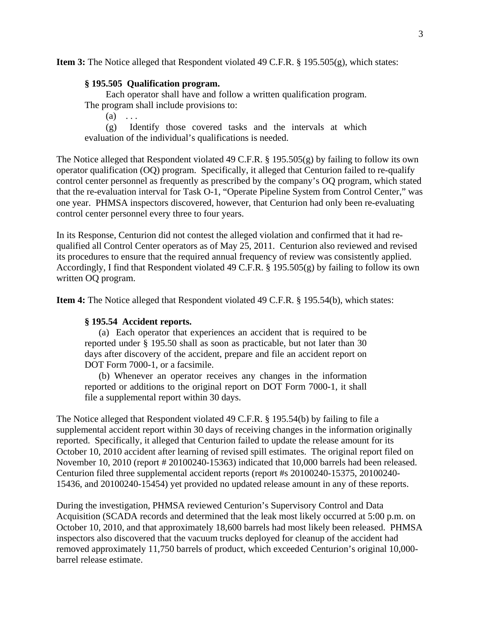**Item 3:** The Notice alleged that Respondent violated 49 C.F.R. § 195.505(g), which states:

### **§ 195.505 Qualification program.**

Each operator shall have and follow a written qualification program. The program shall include provisions to:

 $(a) \ldots$ 

(g) Identify those covered tasks and the intervals at which evaluation of the individual's qualifications is needed.

The Notice alleged that Respondent violated 49 C.F.R. § 195.505(g) by failing to follow its own operator qualification (OQ) program. Specifically, it alleged that Centurion failed to re-qualify control center personnel as frequently as prescribed by the company's OQ program, which stated that the re-evaluation interval for Task O-1, "Operate Pipeline System from Control Center," was one year. PHMSA inspectors discovered, however, that Centurion had only been re-evaluating control center personnel every three to four years.

In its Response, Centurion did not contest the alleged violation and confirmed that it had requalified all Control Center operators as of May 25, 2011. Centurion also reviewed and revised its procedures to ensure that the required annual frequency of review was consistently applied. Accordingly, I find that Respondent violated 49 C.F.R. § 195.505(g) by failing to follow its own written OQ program.

**Item 4:** The Notice alleged that Respondent violated 49 C.F.R. § 195.54(b), which states:

# **§ 195.54 Accident reports.**

(a) Each operator that experiences an accident that is required to be reported under § 195.50 shall as soon as practicable, but not later than 30 days after discovery of the accident, prepare and file an accident report on DOT Form 7000-1, or a facsimile.

(b) Whenever an operator receives any changes in the information reported or additions to the original report on DOT Form 7000-1, it shall file a supplemental report within 30 days.

The Notice alleged that Respondent violated 49 C.F.R. § 195.54(b) by failing to file a supplemental accident report within 30 days of receiving changes in the information originally reported. Specifically, it alleged that Centurion failed to update the release amount for its October 10, 2010 accident after learning of revised spill estimates. The original report filed on November 10, 2010 (report # 20100240-15363) indicated that 10,000 barrels had been released. Centurion filed three supplemental accident reports (report #s 20100240-15375, 20100240- 15436, and 20100240-15454) yet provided no updated release amount in any of these reports.

During the investigation, PHMSA reviewed Centurion's Supervisory Control and Data Acquisition (SCADA records and determined that the leak most likely occurred at 5:00 p.m. on October 10, 2010, and that approximately 18,600 barrels had most likely been released. PHMSA inspectors also discovered that the vacuum trucks deployed for cleanup of the accident had removed approximately 11,750 barrels of product, which exceeded Centurion's original 10,000 barrel release estimate.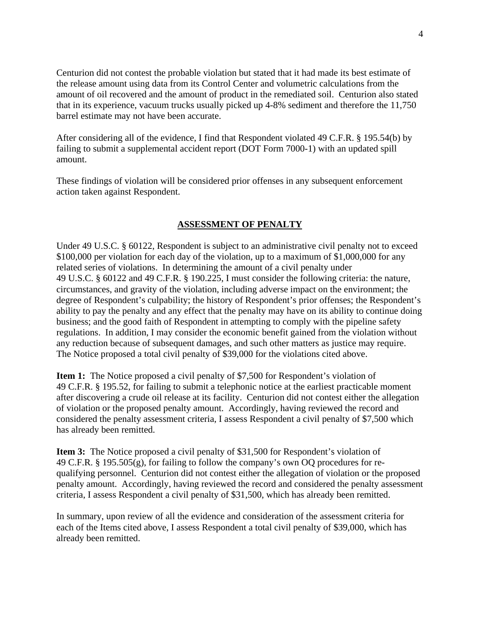Centurion did not contest the probable violation but stated that it had made its best estimate of the release amount using data from its Control Center and volumetric calculations from the amount of oil recovered and the amount of product in the remediated soil. Centurion also stated that in its experience, vacuum trucks usually picked up 4-8% sediment and therefore the 11,750 barrel estimate may not have been accurate.

After considering all of the evidence, I find that Respondent violated 49 C.F.R. § 195.54(b) by failing to submit a supplemental accident report (DOT Form 7000-1) with an updated spill amount.

These findings of violation will be considered prior offenses in any subsequent enforcement action taken against Respondent.

# **ASSESSMENT OF PENALTY**

Under 49 U.S.C. § 60122, Respondent is subject to an administrative civil penalty not to exceed \$100,000 per violation for each day of the violation, up to a maximum of \$1,000,000 for any related series of violations. In determining the amount of a civil penalty under 49 U.S.C. § 60122 and 49 C.F.R. § 190.225, I must consider the following criteria: the nature, circumstances, and gravity of the violation, including adverse impact on the environment; the degree of Respondent's culpability; the history of Respondent's prior offenses; the Respondent's ability to pay the penalty and any effect that the penalty may have on its ability to continue doing business; and the good faith of Respondent in attempting to comply with the pipeline safety regulations. In addition, I may consider the economic benefit gained from the violation without any reduction because of subsequent damages, and such other matters as justice may require. The Notice proposed a total civil penalty of \$39,000 for the violations cited above.

**Item 1:** The Notice proposed a civil penalty of \$7,500 for Respondent's violation of 49 C.F.R. § 195.52, for failing to submit a telephonic notice at the earliest practicable moment after discovering a crude oil release at its facility. Centurion did not contest either the allegation of violation or the proposed penalty amount. Accordingly, having reviewed the record and considered the penalty assessment criteria, I assess Respondent a civil penalty of \$7,500 which has already been remitted.

**Item 3:** The Notice proposed a civil penalty of \$31,500 for Respondent's violation of 49 C.F.R. § 195.505(g), for failing to follow the company's own OQ procedures for requalifying personnel. Centurion did not contest either the allegation of violation or the proposed penalty amount. Accordingly, having reviewed the record and considered the penalty assessment criteria, I assess Respondent a civil penalty of \$31,500, which has already been remitted.

In summary, upon review of all the evidence and consideration of the assessment criteria for each of the Items cited above, I assess Respondent a total civil penalty of \$39,000, which has already been remitted.